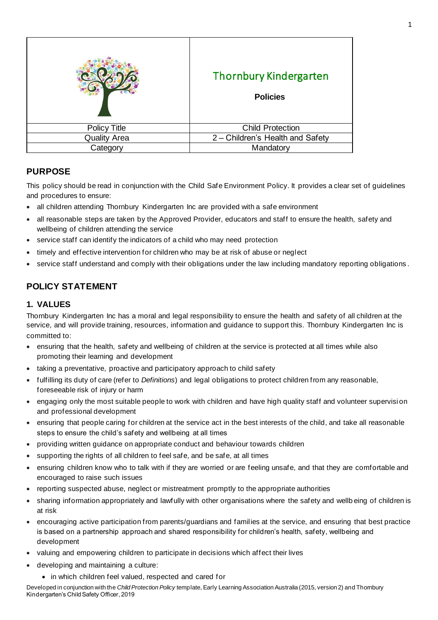|                     | <b>Thornbury Kindergarten</b><br><b>Policies</b> |
|---------------------|--------------------------------------------------|
| <b>Policy Title</b> | <b>Child Protection</b>                          |
| <b>Quality Area</b> | 2 - Children's Health and Safety                 |
| Category            | Mandatory                                        |

# **PURPOSE**

This policy should be read in conjunction with the Child Safe Environment Policy. It provides a clear set of guidelines and procedures to ensure:

- all children attending Thornbury Kindergarten Inc are provided with a safe environment
- all reasonable steps are taken by the Approved Provider, educators and staff to ensure the health, safety and wellbeing of children attending the service
- service staff can identify the indicators of a child who may need protection
- timely and effective intervention for children who may be at risk of abuse or neglect
- service staff understand and comply with their obligations under the law including mandatory reporting obligations.

## **POLICY STATEMENT**

### **1. VALUES**

Thornbury Kindergarten Inc has a moral and legal responsibility to ensure the health and safety of all children at the service, and will provide training, resources, information and guidance to support this. Thornbury Kindergarten Inc is committed to:

- ensuring that the health, safety and wellbeing of children at the service is protected at all times while also promoting their learning and development
- taking a preventative, proactive and participatory approach to child safety
- fulfilling its duty of care (refer to *Definitions*) and legal obligations to protect children from any reasonable, foreseeable risk of injury or harm
- engaging only the most suitable people to work with children and have high quality staff and volunteer supervision and professional development
- ensuring that people caring for children at the service act in the best interests of the child, and take all reasonable steps to ensure the child's safety and wellbeing at all times
- providing written guidance on appropriate conduct and behaviour towards children
- supporting the rights of all children to feel safe, and be safe, at all times
- ensuring children know who to talk with if they are worried or are feeling unsafe, and that they are comfortable and encouraged to raise such issues
- reporting suspected abuse, neglect or mistreatment promptly to the appropriate authorities
- sharing information appropriately and lawfully with other organisations where the safety and wellb eing of children is at risk
- encouraging active participation from parents/guardians and families at the service, and ensuring that best practice is based on a partnership approach and shared responsibility for children's health, safety, wellbeing and development
- valuing and empowering children to participate in decisions which affect their lives
- developing and maintaining a culture:
	- in which children feel valued, respected and cared for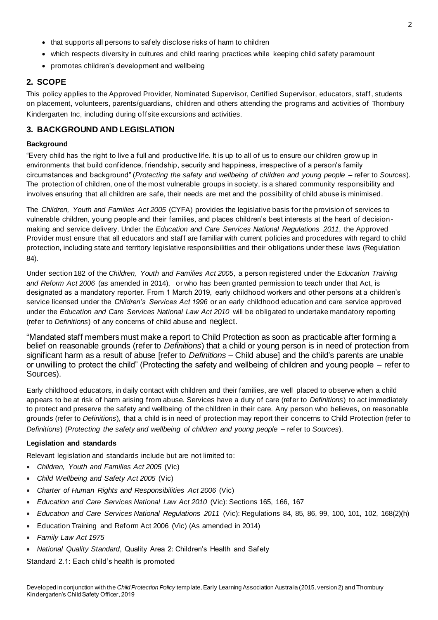- that supports all persons to safely disclose risks of harm to children
- which respects diversity in cultures and child rearing practices while keeping child safety paramount
- promotes children's development and wellbeing

## **2. SCOPE**

This policy applies to the Approved Provider, Nominated Supervisor, Certified Supervisor, educators, staff, students on placement, volunteers, parents/guardians, children and others attending the programs and activities of Thornbury Kindergarten Inc, including during offsite excursions and activities.

## **3. BACKGROUND AND LEGISLATION**

### **Background**

"Every child has the right to live a full and productive life. It is up to all of us to ensure our children grow up in environments that build confidence, friendship, security and happiness, irrespective of a person's family circumstances and background" (*Protecting the safety and wellbeing of children and young people* – refer to *Sources*). The protection of children, one of the most vulnerable groups in society, is a shared community responsibility and involves ensuring that all children are safe, their needs are met and the possibility of child abuse is minimised.

The *Children, Youth and Families Act 2005* (CYFA) provides the legislative basis for the provision of services to vulnerable children, young people and their families, and places children's best interests at the heart of decisionmaking and service delivery. Under the *Education and Care Services National Regulations 2011*, the Approved Provider must ensure that all educators and staff are familiar with current policies and procedures with regard to child protection, including state and territory legislative responsibilities and their obligations under these laws (Regulation 84).

Under section 182 of the *Children, Youth and Families Act 2005*, a person registered under the *Education Training and Reform Act 2006* (as amended in 2014), or who has been granted permission to teach under that Act, is designated as a mandatory reporter. From 1 March 2019, early childhood workers and other persons at a children's service licensed under the *Children's Services Act 1996* or an early childhood education and care service approved under the *Education and Care Services National Law Act 2010* will be obligated to undertake mandatory reporting (refer to *Definitions*) of any concerns of child abuse and neglect.

"Mandated staff members must make a report to Child Protection as soon as practicable after forming a belief on reasonable grounds (refer to *Definitions*) that a child or young person is in need of protection from significant harm as a result of abuse [refer to *Definitions –* Child abuse] and the child's parents are unable or unwilling to protect the child" (Protecting the safety and wellbeing of children and young people – refer to Sources).

Early childhood educators, in daily contact with children and their families, are well placed to observe when a child appears to be at risk of harm arising from abuse. Services have a duty of care (refer to *Definitions*) to act immediately to protect and preserve the safety and wellbeing of the children in their care. Any person who believes, on reasonable grounds (refer to *Definitions*), that a child is in need of protection may report their concerns to Child Protection (refer to *Definitions*) (*Protecting the safety and wellbeing of children and young people* – refer to *Sources*).

## **Legislation and standards**

Relevant legislation and standards include but are not limited to:

- *Children, Youth and Families Act 2005* (Vic)
- *Child Wellbeing and Safety Act 2005* (Vic)
- *Charter of Human Rights and Responsibilities Act 2006* (Vic)
- *Education and Care Services National Law Act 2010* (Vic): Sections 165, 166, 167
- *Education and Care Services National Regulations 2011* (Vic): Regulations 84, 85, 86, 99, 100, 101, 102, 168(2)(h)
- Education Training and Reform Act 2006 (Vic) (As amended in 2014)
- *Family Law Act 1975*
- *National Quality Standard*, Quality Area 2: Children's Health and Safety

Standard 2.1: Each child's health is promoted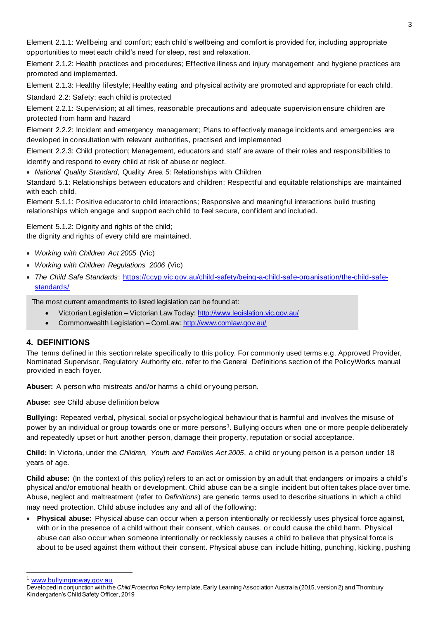Element 2.1.1: Wellbeing and comfort; each child's wellbeing and comfort is provided for, including appropriate opportunities to meet each child's need for sleep, rest and relaxation.

Element 2.1.2: Health practices and procedures; Effective illness and injury management and hygiene practices are promoted and implemented.

Element 2.1.3: Healthy lifestyle; Healthy eating and physical activity are promoted and appropriate for each child.

Standard 2.2: Safety; each child is protected

Element 2.2.1: Supervision; at all times, reasonable precautions and adequate supervision ensure children are protected from harm and hazard

Element 2.2.2: Incident and emergency management; Plans to effectively manage incidents and emergencies are developed in consultation with relevant authorities, practised and implemented

Element 2.2.3: Child protection; Management, educators and staff are aware of their roles and responsibilities to identify and respond to every child at risk of abuse or neglect.

• *National Quality Standard*, Quality Area 5: Relationships with Children

Standard 5.1: Relationships between educators and children; Respectful and equitable relationships are maintained with each child.

Element 5.1.1: Positive educator to child interactions; Responsive and meaningful interactions build trusting relationships which engage and support each child to feel secure, confident and included.

Element 5.1.2: Dignity and rights of the child; the dignity and rights of every child are maintained.

- *Working with Children Act 2005* (Vic)
- *Working with Children Regulations 2006* (Vic)
- *The Child Safe Standards*: https://ccyp.vic.gov.au/child-safety/being-a-child-safe-organisation/the-child-safestandards/

The most current amendments to listed legislation can be found at:

- Victorian Legislation Victorian Law Today: http://www.legislation.vic.gov.au/
- Commonwealth Legislation ComLaw: http://www.comlaw.gov.au/

## **4. DEFINITIONS**

The terms defined in this section relate specifically to this policy. For commonly used terms e.g. Approved Provider, Nominated Supervisor, Regulatory Authority etc. refer to the General Definitions section of the PolicyWorks manual provided in each foyer.

**Abuser:** A person who mistreats and/or harms a child or young person.

**Abuse:** see Child abuse definition below

**Bullying:** Repeated verbal, physical, social or psychological behaviour that is harmful and involves the misuse of power by an individual or group towards one or more persons<sup>1</sup>. Bullying occurs when one or more people deliberately and repeatedly upset or hurt another person, damage their property, reputation or social acceptance.

**Child:** In Victoria, under the *Children, Youth and Families Act 2005*, a child or young person is a person under 18 years of age.

**Child abuse:** (In the context of this policy) refers to an act or omission by an adult that endangers or impairs a child's physical and/or emotional health or development. Child abuse can be a single incident but often takes place over time. Abuse, neglect and maltreatment (refer to *Definitions*) are generic terms used to describe situations in which a child may need protection. Child abuse includes any and all of the following:

• **Physical abuse:** Physical abuse can occur when a person intentionally or recklessly uses physical force against, with or in the presence of a child without their consent, which causes, or could cause the child harm. Physical abuse can also occur when someone intentionally or recklessly causes a child to believe that physical force is about to be used against them without their consent. Physical abuse can include hitting, punching, kicking, pushing

<sup>1</sup> www.bullyingnoway.gov.au

Developed in conjunction with the *Child Protection Policy* template, Early Learning Association Australia (2015, version 2) and Thornbury Kindergarten's Child Safety Officer, 2019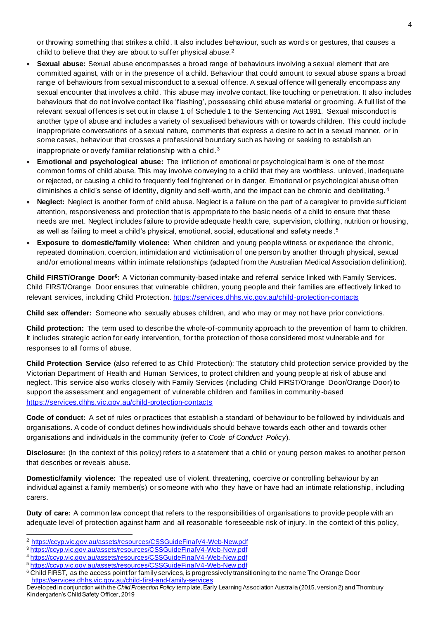or throwing something that strikes a child. It also includes behaviour, such as word s or gestures, that causes a child to believe that they are about to suffer physical abuse.<sup>2</sup>

- **Sexual abuse:** Sexual abuse encompasses a broad range of behaviours involving a sexual element that are committed against, with or in the presence of a child. Behaviour that could amount to sexual abuse spans a broad range of behaviours from sexual misconduct to a sexual offence. A sexual offence will generally encompass any sexual encounter that involves a child. This abuse may involve contact, like touching or penetration. It also includes behaviours that do not involve contact like 'flashing', possessing child abuse material or grooming. A full list of the relevant sexual offences is set out in clause 1 of Schedule 1 to the Sentencing Act 1991. Sexual misconduct is another type of abuse and includes a variety of sexualised behaviours with or towards children. This could include inappropriate conversations of a sexual nature, comments that express a desire to act in a sexual manner, or in some cases, behaviour that crosses a professional boundary such as having or seeking to establish an inappropriate or overly familiar relationship with a child. <sup>3</sup>
- **Emotional and psychological abuse:** The infliction of emotional or psychological harm is one of the most common forms of child abuse. This may involve conveying to a child that they are worthless, unloved, inadequate or rejected, or causing a child to frequently feel frightened or in danger. Emotional or psychological abuse often diminishes a child's sense of identity, dignity and self-worth, and the impact can be chronic and debilitating.<sup>4</sup>
- **Neglect:** Neglect is another form of child abuse. Neglect is a failure on the part of a caregiver to provide sufficient attention, responsiveness and protection that is appropriate to the basic needs of a child to ensure that these needs are met. Neglect includes failure to provide adequate health care, supervision, clothing, nutrition or housing, as well as failing to meet a child's physical, emotional, social, educational and safety needs. $^{\rm 5}$
- **Exposure to domestic/family violence:** When children and young people witness or experience the chronic, repeated domination, coercion, intimidation and victimisation of one person by another through physical, sexual and/or emotional means within intimate relationships (adapted from the Australian Medical Association definition).

**Child FIRST/Orange Door<sup>6</sup> :** A Victorian community-based intake and referral service linked with Family Services. Child FIRST/Orange Door ensures that vulnerable children, young people and their families are effectively linked to relevant services, including Child Protection. https://services.dhhs.vic.gov.au/child-protection-contacts

**Child sex offender:** Someone who sexually abuses children, and who may or may not have prior convictions.

**Child protection:** The term used to describe the whole-of-community approach to the prevention of harm to children. It includes strategic action for early intervention, for the protection of those considered most vulnerable and for responses to all forms of abuse.

**Child Protection Service** (also referred to as Child Protection): The statutory child protection service provided by the Victorian Department of Health and Human Services, to protect children and young people at risk of abuse and neglect. This service also works closely with Family Services (including Child FIRST/Orange Door/Orange Door) to support the assessment and engagement of vulnerable children and families in community -based https://services.dhhs.vic.gov.au/child-protection-contacts

**Code of conduct:** A set of rules or practices that establish a standard of behaviour to be followed by individuals and organisations. A code of conduct defines how individuals should behave towards each other and towards other organisations and individuals in the community (refer to *Code of Conduct Policy*).

**Disclosure:** (In the context of this policy) refers to a statement that a child or young person makes to another person that describes or reveals abuse.

**Domestic/family violence:** The repeated use of violent, threatening, coercive or controlling behaviour by an individual against a family member(s) or someone with who they have or have had an intimate relationship, including carers.

**Duty of care:** A common law concept that refers to the responsibilities of organisations to provide people with an adequate level of protection against harm and all reasonable foreseeable risk of injury. In the context of this policy,

<sup>2</sup> https://ccyp.vic.gov.au/assets/resources/CSSGuideFinalV4-Web-New.pdf

<sup>3</sup> https://ccyp.vic.gov.au/assets/resources/CSSGuideFinalV4-Web-New.pdf

<sup>4</sup> https://ccyp.vic.gov.au/assets/resources/CSSGuideFinalV4-Web-New.pdf

<sup>5</sup> https://ccyp.vic.gov.au/assets/resources/CSSGuideFinalV4-Web-New.pdf

<sup>6</sup> Child FIRST, as the access point for family services, is progressively transitioning to the name The Orange Door https://services.dhhs.vic.gov.au/child-first-and-family-services

Developed in conjunction with the *Child Protection Policy* template, Early Learning Association Australia (2015, version 2) and Thornbury Kindergarten's Child Safety Officer, 2019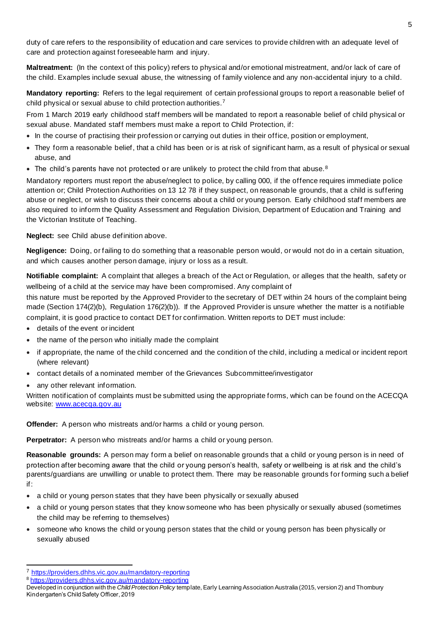duty of care refers to the responsibility of education and care services to provide children with an adequate level of care and protection against foreseeable harm and injury.

**Maltreatment:** (In the context of this policy) refers to physical and/or emotional mistreatment, and/or lack of care of the child. Examples include sexual abuse, the witnessing of family violence and any non-accidental injury to a child.

**Mandatory reporting:** Refers to the legal requirement of certain professional groups to report a reasonable belief of child physical or sexual abuse to child protection authorities.<sup>7</sup>

From 1 March 2019 early childhood staff members will be mandated to report a reasonable belief of child physical or sexual abuse. Mandated staff members must make a report to Child Protection, if:

- In the course of practising their profession or carrying out duties in their office, position or employment,
- They form a reasonable belief, that a child has been or is at risk of significant harm, as a result of physical or sexual abuse, and
- The child's parents have not protected or are unlikely to protect the child from that abuse. $8$

Mandatory reporters must report the abuse/neglect to police, by calling 000, if the offence requires immediate police attention or; Child Protection Authorities on 13 12 78 if they suspect, on reasonab le grounds, that a child is suffering abuse or neglect, or wish to discuss their concerns about a child or young person. Early childhood staff members are also required to inform the Quality Assessment and Regulation Division, Department of Education and Training and the Victorian Institute of Teaching.

**Neglect:** see Child abuse definition above.

**Negligence:** Doing, or failing to do something that a reasonable person would, or would not do in a certain situation, and which causes another person damage, injury or loss as a result.

**Notifiable complaint:** A complaint that alleges a breach of the Act or Regulation, or alleges that the health, safety or wellbeing of a child at the service may have been compromised. Any complaint of

this nature must be reported by the Approved Provider to the secretary of DET within 24 hours of the complaint being made (Section 174(2)(b), Regulation 176(2)(b)). If the Approved Provider is unsure whether the matter is a notifiable complaint, it is good practice to contact DET for confirmation. Written reports to DET must include:

- details of the event or incident
- the name of the person who initially made the complaint
- if appropriate, the name of the child concerned and the condition of the child, including a medical or incident report (where relevant)
- contact details of a nominated member of the Grievances Subcommittee/investigator
- any other relevant information.

Written notification of complaints must be submitted using the appropriate forms, which can be found on the ACECQA website: www.acecqa.gov.au

**Offender:** A person who mistreats and/or harms a child or young person.

**Perpetrator:** A person who mistreats and/or harms a child or young person.

**Reasonable grounds:** A person may form a belief on reasonable grounds that a child or young person is in need of protection after becoming aware that the child or young person's health, safety or wellbeing is at risk and the child's parents/guardians are unwilling or unable to protect them. There may be reasonable grounds for forming such a belief if:

- a child or young person states that they have been physically or sexually abused
- a child or young person states that they know someone who has been physically or sexually abused (sometimes the child may be referring to themselves)
- someone who knows the child or young person states that the child or young person has been physically or sexually abused

<sup>7</sup> https://providers.dhhs.vic.gov.au/mandatory-reporting

<sup>8</sup> https://providers.dhhs.vic.gov.au/mandatory-reporting

Developed in conjunction with the *Child Protection Policy* template, Early Learning Association Australia (2015, version 2) and Thornbury Kindergarten's Child Safety Officer, 2019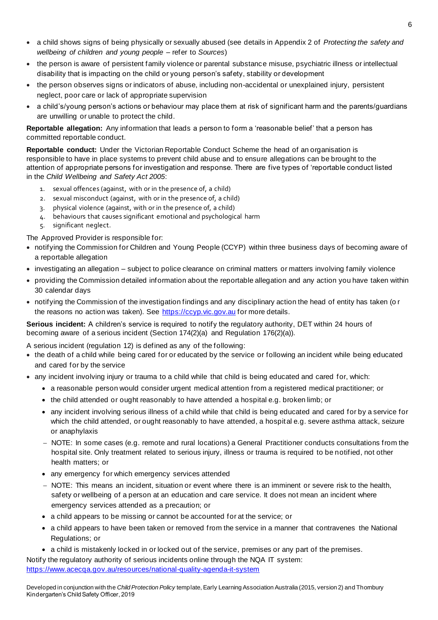- a child shows signs of being physically or sexually abused (see details in Appendix 2 of *Protecting the safety and wellbeing of children and young people* – refer to *Sources*)
- the person is aware of persistent family violence or parental substance misuse, psychiatric illness or intellectual disability that is impacting on the child or young person's safety, stability or development
- the person observes signs or indicators of abuse, including non-accidental or unexplained injury, persistent neglect, poor care or lack of appropriate supervision
- a child's/young person's actions or behaviour may place them at risk of significant harm and the parents/guardians are unwilling or unable to protect the child.

**Reportable allegation:** Any information that leads a person to form a 'reasonable belief' that a person has committed reportable conduct.

**Reportable conduct:** Under the Victorian Reportable Conduct Scheme the head of an organisation is responsible to have in place systems to prevent child abuse and to ensure allegations can be brought to the attention of appropriate persons for investigation and response. There are five types of 'reportable conduct listed in the *Child Wellbeing and Safety Act 2005*:

- 1. sexual offences (against, with or in the presence of, a child)
- 2. sexual misconduct (against, with or in the presence of, a child)
- 3. physical violence (against, with or in the presence of, a child)
- 4. behaviours that causes significant emotional and psychological harm
- 5. significant neglect.

The Approved Provider is responsible for:

- notifying the Commission for Children and Young People (CCYP) within three business days of becoming aware of a reportable allegation
- investigating an allegation subject to police clearance on criminal matters or matters involving family violence
- providing the Commission detailed information about the reportable allegation and any action you have taken within 30 calendar days
- notifying the Commission of the investigation findings and any disciplinary action the head of entity has taken (o r the reasons no action was taken). See https://ccyp.vic.gov.au for more details.

**Serious incident:** A children's service is required to notify the regulatory authority, DET within 24 hours of becoming aware of a serious incident (Section 174(2)(a) and Regulation 176(2)(a)).

A serious incident (regulation 12) is defined as any of the following:

- the death of a child while being cared for or educated by the service or following an incident while being educated and cared for by the service
- any incident involving injury or trauma to a child while that child is being educated and cared for, which:
	- a reasonable person would consider urgent medical attention from a registered medical practitioner; or
	- the child attended or ought reasonably to have attended a hospital e.g. broken limb; or
	- any incident involving serious illness of a child while that child is being educated and cared for by a service for which the child attended, or ought reasonably to have attended, a hospital e.g. severe asthma attack, seizure or anaphylaxis
	- − NOTE: In some cases (e.g. remote and rural locations) a General Practitioner conducts consultations from the hospital site. Only treatment related to serious injury, illness or trauma is required to be notified, not other health matters; or
	- any emergency for which emergency services attended
	- − NOTE: This means an incident, situation or event where there is an imminent or severe risk to the health, safety or wellbeing of a person at an education and care service. It does not mean an incident where emergency services attended as a precaution; or
	- a child appears to be missing or cannot be accounted for at the service; or
	- a child appears to have been taken or removed from the service in a manner that contravenes the National Regulations; or
	- a child is mistakenly locked in or locked out of the service, premises or any part of the premises.

Notify the regulatory authority of serious incidents online through the NQA IT system: https://www.acecqa.gov.au/resources/national-quality-agenda-it-system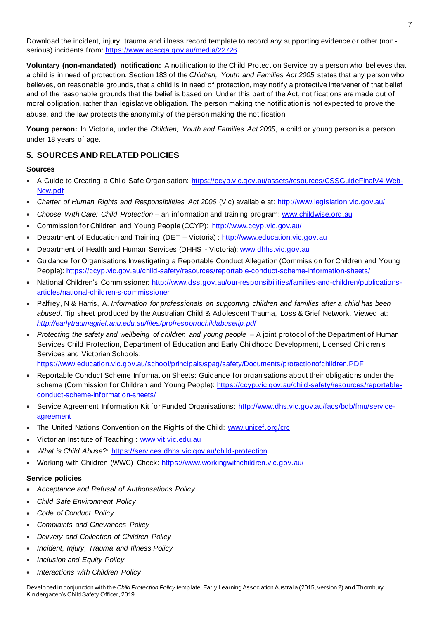Download the incident, injury, trauma and illness record template to record any supporting evidence or other (nonserious) incidents from: https://www.acecqa.gov.au/media/22726

**Voluntary (non-mandated) notification:** A notification to the Child Protection Service by a person who believes that a child is in need of protection. Section 183 of the *Children, Youth and Families Act 2005* states that any person who believes, on reasonable grounds, that a child is in need of protection, may notify a protective intervener of that belief and of the reasonable grounds that the belief is based on. Under this part of the Act, notifications are made out of moral obligation, rather than legislative obligation. The person making the notification is not expected to prove the abuse, and the law protects the anonymity of the person making the notification.

**Young person:** In Victoria, under the *Children, Youth and Families Act 2005*, a child or young person is a person under 18 years of age.

## **5. SOURCES AND RELATED POLICIES**

### **Sources**

- A Guide to Creating a Child Safe Organisation: https://ccyp.vic.gov.au/assets/resources/CSSGuideFinalV4-Web-New.pdf
- *Charter of Human Rights and Responsibilities Act 2006* (Vic) available at: http://www.legislation.vic.gov.au/
- *Choose With Care: Child Protection*  an information and training program: www.childwise.org.au
- Commission for Children and Young People (CCYP): http://www.ccyp.vic.gov.au/
- Department of Education and Training (DET Victoria) : http://www.education.vic.gov.au
- Department of Health and Human Services (DHHS Victoria): www.dhhs.vic.gov.au
- Guidance for Organisations Investigating a Reportable Conduct Allegation (Commission for Children and Young People): https://ccyp.vic.gov.au/child-safety/resources/reportable-conduct-scheme-information-sheets/
- National Children's Commissioner: http://www.dss.gov.au/our-responsibilities/families-and-children/publicationsarticles/national-children-s-commissioner
- Palfrey, N & Harris, A. *Information for professionals on supporting children and families after a child has been abused*. Tip sheet produced by the Australian Child & Adolescent Trauma, Loss & Grief Network. Viewed at: *http://earlytraumagrief.anu.edu.au/files/profrespondchildabusetip.pdf*
- *Protecting the safety and wellbeing of children and young people* A joint protocol of the Department of Human Services Child Protection, Department of Education and Early Childhood Development, Licensed Children's Services and Victorian Schools:

https://www.education.vic.gov.au/school/principals/spag/safety/Documents/protectionofchildren.PDF

- Reportable Conduct Scheme Information Sheets: Guidance for organisations about their obligations under the scheme (Commission for Children and Young People): https://ccyp.vic.gov.au/child-safety/resources/reportableconduct-scheme-information-sheets/
- Service Agreement Information Kit for Funded Organisations: http://www.dhs.vic.gov.au/facs/bdb/fmu/serviceagreement
- The United Nations Convention on the Rights of the Child: www.unicef.org/crc
- Victorian Institute of Teaching : www.vit.vic.edu.au
- *What is Child Abuse?:* https://services.dhhs.vic.gov.au/child-protection
- Working with Children (WWC) Check: https://www.workingwithchildren.vic.gov.au/

### **Service policies**

- *Acceptance and Refusal of Authorisations Policy*
- *Child Safe Environment Policy*
- *Code of Conduct Policy*
- *Complaints and Grievances Policy*
- *Delivery and Collection of Children Policy*
- *Incident, Injury, Trauma and Illness Policy*
- *Inclusion and Equity Policy*
- *Interactions with Children Policy*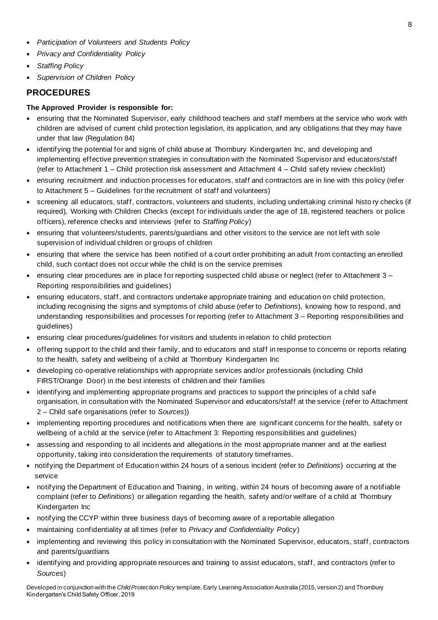- *Participation of Volunteers and Students Policy*
- *Privacy and Confidentiality Policy*
- *Staffing Policy*
- *Supervision of Children Policy*

# **PROCEDURES**

## **The Approved Provider is responsible for:**

- ensuring that the Nominated Supervisor, early childhood teachers and staff members at the service who work with children are advised of current child protection legislation, its application, and any obligations that they may have under that law (Regulation 84)
- identifying the potential for and signs of child abuse at Thornbury Kindergarten Inc, and developing and implementing effective prevention strategies in consultation with the Nominated Supervisor and educators/staff (refer to Attachment 1 – Child protection risk assessment and Attachment 4 – Child safety review checklist)
- ensuring recruitment and induction processes for educators, staff and contractors are in line with this policy (refer to Attachment 5 – Guidelines for the recruitment of staff and volunteers)
- screening all educators, staff, contractors, volunteers and students, including undertaking criminal histo ry checks (if required), Working with Children Checks (except for individuals under the age of 18, registered teachers or police officers), reference checks and interviews (refer to *Staffing Policy*)
- ensuring that volunteers/students, parents/guardians and other visitors to the service are not left with sole supervision of individual children or groups of children
- ensuring that where the service has been notified of a court order prohibiting an adult from contacting an enrolled child, such contact does not occur while the child is on the service premises
- ensuring clear procedures are in place for reporting suspected child abuse or neglect (refer to Attachment 3 Reporting responsibilities and guidelines)
- ensuring educators, staff, and contractors undertake appropriate training and education on child protection, including recognising the signs and symptoms of child abuse (refer to *Definitions*), knowing how to respond, and understanding responsibilities and processes for reporting (refer to Attachment 3 – Reporting responsibilities and guidelines)
- ensuring clear procedures/guidelines for visitors and students in relation to child protection
- offering support to the child and their family, and to educators and staff in response to concerns or reports relating to the health, safety and wellbeing of a child at Thornbury Kindergarten Inc
- developing co-operative relationships with appropriate services and/or professionals (including Child FIRST/Orange Door) in the best interests of children and their families
- identifying and implementing appropriate programs and practices to support the principles of a child safe organisation, in consultation with the Nominated Supervisor and educators/staff at the service (refer to Attachment 2 – Child safe organisations (refer to *Sources*))
- implementing reporting procedures and notifications when there are significant concerns for the health, safety or wellbeing of a child at the service (refer to Attachment 3: Reporting responsibilities and guidelines)
- assessing and responding to all incidents and allegations in the most appropriate manner and at the earliest opportunity, taking into consideration the requirements of statutory timeframes.
- notifying the Department of Education within 24 hours of a serious incident (refer to *Definitions*) occurring at the service
- notifying the Department of Education and Training, in writing, within 24 hours of becoming aware of a notifiable complaint (refer to *Definitions*) or allegation regarding the health, safety and/or welfare of a child at Thornbury Kindergarten Inc
- notifying the CCYP within three business days of becoming aware of a reportable allegation
- maintaining confidentiality at all times (refer to *Privacy and Confidentiality Policy*)
- implementing and reviewing this policy in consultation with the Nominated Supervisor, educators, staff, contractors and parents/guardians
- identifying and providing appropriate resources and training to assist educators, staff, and contractors (refer to *Sources*)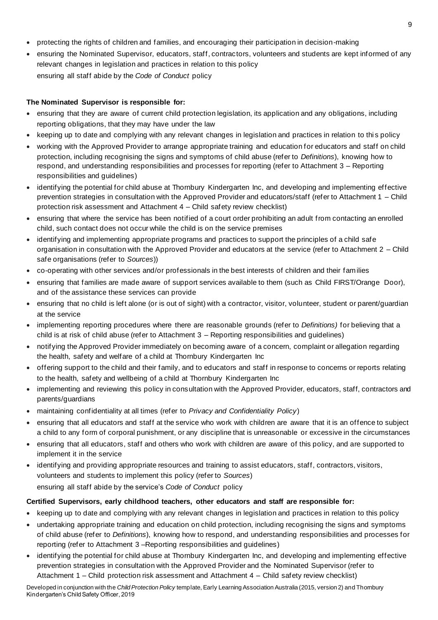- protecting the rights of children and families, and encouraging their participation in decision-making
- ensuring the Nominated Supervisor, educators, staff, contractors, volunteers and students are kept informed of any relevant changes in legislation and practices in relation to this policy ensuring all staff abide by the *Code of Conduct* policy

### **The Nominated Supervisor is responsible for:**

- ensuring that they are aware of current child protection legislation, its application and any obligations, including reporting obligations, that they may have under the law
- keeping up to date and complying with any relevant changes in legislation and practices in relation to this policy
- working with the Approved Provider to arrange appropriate training and education for educators and staff on child protection, including recognising the signs and symptoms of child abuse (refer to *Definitions*), knowing how to respond, and understanding responsibilities and processes for reporting (refer to Attachment 3 – Reporting responsibilities and guidelines)
- identifying the potential for child abuse at Thornbury Kindergarten Inc, and developing and implementing effective prevention strategies in consultation with the Approved Provider and educators/staff (refer to Attachment 1 – Child protection risk assessment and Attachment 4 – Child safety review checklist)
- ensuring that where the service has been notified of a court order prohibiting an adult from contacting an enrolled child, such contact does not occur while the child is on the service premises
- identifying and implementing appropriate programs and practices to support the principles of a child safe organisation in consultation with the Approved Provider and educators at the service (refer to Attachment 2 – Child safe organisations (refer to *Sources*))
- co-operating with other services and/or professionals in the best interests of children and their families
- ensuring that families are made aware of support services available to them (such as Child FIRST/Orange Door), and of the assistance these services can provide
- ensuring that no child is left alone (or is out of sight) with a contractor, visitor, volunteer, student or parent/guardian at the service
- implementing reporting procedures where there are reasonable grounds (refer to *Definitions)* for believing that a child is at risk of child abuse (refer to Attachment 3 – Reporting responsibilities and guidelines)
- notifying the Approved Provider immediately on becoming aware of a concern, complaint or allegation regarding the health, safety and welfare of a child at Thornbury Kindergarten Inc
- offering support to the child and their family, and to educators and staff in response to concerns or reports relating to the health, safety and wellbeing of a child at Thornbury Kindergarten Inc
- implementing and reviewing this policy in consultation with the Approved Provider, educators, staff, contractors and parents/guardians
- maintaining confidentiality at all times (refer to *Privacy and Confidentiality Policy*)
- ensuring that all educators and staff at the service who work with children are aware that it is an offence to subject a child to any form of corporal punishment, or any discipline that is unreasonable or excessive in the circumstances
- ensuring that all educators, staff and others who work with children are aware of this policy, and are supported to implement it in the service
- identifying and providing appropriate resources and training to assist educators, staff, contractors, visitors, volunteers and students to implement this policy (refer to *Sources*) ensuring all staff abide by the service's *Code of Conduct* policy

### **Certified Supervisors, early childhood teachers, other educators and staff are responsible for:**

- keeping up to date and complying with any relevant changes in legislation and practices in relation to this policy
- undertaking appropriate training and education on child protection, including recognising the signs and symptoms of child abuse (refer to *Definitions*), knowing how to respond, and understanding responsibilities and processes for reporting (refer to Attachment 3 –Reporting responsibilities and guidelines)
- identifying the potential for child abuse at Thornbury Kindergarten Inc, and developing and implementing effective prevention strategies in consultation with the Approved Provider and the Nominated Supervisor (refer to Attachment 1 – Child protection risk assessment and Attachment 4 – Child safety review checklist)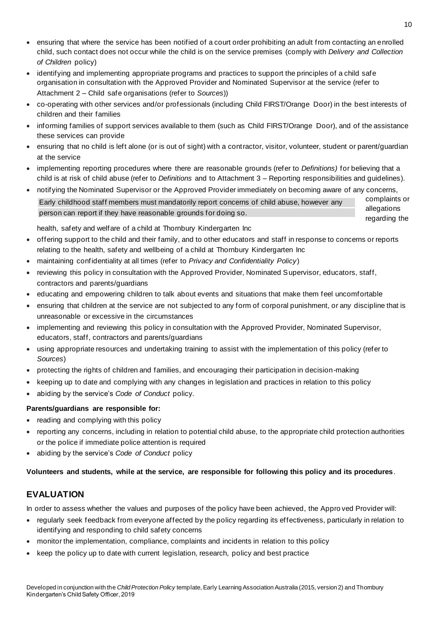- ensuring that where the service has been notified of a court order prohibiting an adult from contacting an enrolled child, such contact does not occur while the child is on the service premises (comply with *Delivery and Collection of Children* policy)
- identifying and implementing appropriate programs and practices to support the principles of a child safe organisation in consultation with the Approved Provider and Nominated Supervisor at the service (refer to Attachment 2 – Child safe organisations (refer to *Sources*))
- co-operating with other services and/or professionals (including Child FIRST/Orange Door) in the best interests of children and their families
- informing families of support services available to them (such as Child FIRST/Orange Door), and of the assistance these services can provide
- ensuring that no child is left alone (or is out of sight) with a contractor, visitor, volunteer, student or parent/guardian at the service
- implementing reporting procedures where there are reasonable grounds (refer to *Definitions)* for believing that a child is at risk of child abuse (refer to *Definitions* and to Attachment 3 – Reporting responsibilities and guidelines).
- notifying the Nominated Supervisor or the Approved Provider immediately on becoming aware of any concerns,
- Early childhood staff members must mandatorily report concerns of child abuse, however any person can report if they have reasonable grounds for doing so.

complaints or allegations regarding the

health, safety and welfare of a child at Thornbury Kindergarten Inc

- offering support to the child and their family, and to other educators and staff in response to concerns or reports relating to the health, safety and wellbeing of a child at Thornbury Kindergarten Inc
- maintaining confidentiality at all times (refer to *Privacy and Confidentiality Policy*)
- reviewing this policy in consultation with the Approved Provider, Nominated Supervisor, educators, staff, contractors and parents/guardians
- educating and empowering children to talk about events and situations that make them feel uncomfortable
- ensuring that children at the service are not subjected to any form of corporal punishment, or any discipline that is unreasonable or excessive in the circumstances
- implementing and reviewing this policy in consultation with the Approved Provider, Nominated Supervisor, educators, staff, contractors and parents/guardians
- using appropriate resources and undertaking training to assist with the implementation of this policy (refer to *Sources*)
- protecting the rights of children and families, and encouraging their participation in decision-making
- keeping up to date and complying with any changes in legislation and practices in relation to this policy
- abiding by the service's *Code of Conduct* policy*.*

### **Parents/guardians are responsible for:**

- reading and complying with this policy
- reporting any concerns, including in relation to potential child abuse, to the appropriate child protection authorities or the police if immediate police attention is required
- abiding by the service's *Code of Conduct* policy

**Volunteers and students, while at the service, are responsible for following this policy and its procedures**.

# **EVALUATION**

In order to assess whether the values and purposes of the policy have been achieved, the Appro ved Provider will:

- regularly seek feedback from everyone affected by the policy regarding its effectiveness, particularly in relation to identifying and responding to child safety concerns
- monitor the implementation, compliance, complaints and incidents in relation to this policy
- keep the policy up to date with current legislation, research, policy and best practice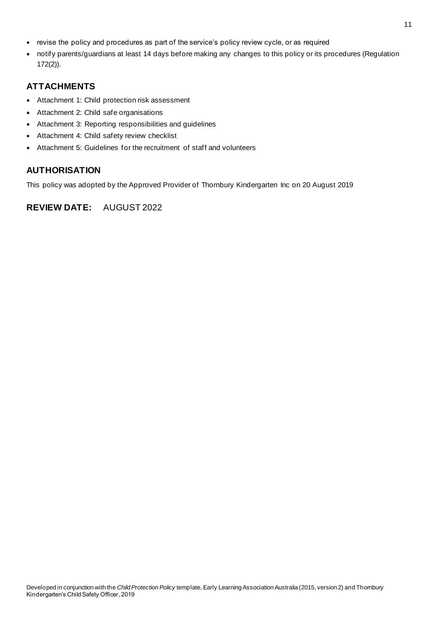- revise the policy and procedures as part of the service's policy review cycle, or as required
- notify parents/guardians at least 14 days before making any changes to this policy or its procedures (Regulation 172(2)).

# **ATTACHMENTS**

- Attachment 1: Child protection risk assessment
- Attachment 2: Child safe organisations
- Attachment 3: Reporting responsibilities and guidelines
- Attachment 4: Child safety review checklist
- Attachment 5: Guidelines for the recruitment of staff and volunteers

# **AUTHORISATION**

This policy was adopted by the Approved Provider of Thornbury Kindergarten Inc on 20 August 2019

# **REVIEW DATE:** AUGUST 2022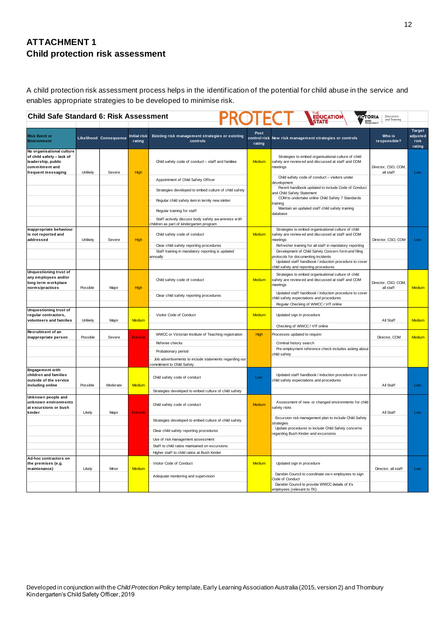# **ATTACHMENT 1 Child protection risk assessment**

A child protection risk assessment process helps in the identification of the potential for child abuse in the service and enables appropriate strategies to be developed to minimise risk.

| <b>EDUCATION</b><br><b>Child Safe Standard 6: Risk Assessment</b><br><b>TORIA</b><br>Education<br>and Training       |          |                               |                               |                                                                                                |                |                                                                                                                                                                                   |                                  |                                      |
|----------------------------------------------------------------------------------------------------------------------|----------|-------------------------------|-------------------------------|------------------------------------------------------------------------------------------------|----------------|-----------------------------------------------------------------------------------------------------------------------------------------------------------------------------------|----------------------------------|--------------------------------------|
| <b>Risk Event or</b><br><b>Environment</b>                                                                           |          | <b>Likelihood Consequence</b> | <b>Initial risk</b><br>rating | Existing risk management strategies or existing<br>controls                                    | Post<br>rating | control risk New risk management strategies or controls                                                                                                                           | Who is<br>responsible?           | Target<br>adjusted<br>risk<br>rating |
| No organisational culture<br>of child safety - lack of<br>leadership, public<br>commitment and<br>frequent messaging | Unlikely | Severe                        | <b>High</b>                   | Child safety code of conduct - staff and families                                              | Medium         | Strategies to embed organisational culture of child<br>safety are review ed and discussed at staff and COM<br>meetinas                                                            | Director, CSO, COM,<br>all staff | Low                                  |
|                                                                                                                      |          |                               |                               | Appointment of Child Safety Officer                                                            |                | Child safety code of conduct - visitors under<br>development                                                                                                                      |                                  |                                      |
|                                                                                                                      |          |                               |                               | Strategies developed to embed culture of child safety                                          |                | Parent handbook updated to include Code of Conduct<br>and Child Safety Statement                                                                                                  |                                  |                                      |
|                                                                                                                      |          |                               |                               | Regular child safety item in termly new sletter                                                |                | COM to undertake online Child Safety 7 Standards<br>training                                                                                                                      |                                  |                                      |
|                                                                                                                      |          |                               |                               | Regular training for staff                                                                     |                | Maintain an updated staff child safety training<br>database                                                                                                                       |                                  |                                      |
|                                                                                                                      |          |                               |                               | Staff actively discuss body safety aw areness with<br>children as part of kindergarten program |                |                                                                                                                                                                                   |                                  |                                      |
| Inappropriate behaviour<br>is not reported and<br>addressed                                                          | Unlikely | Severe                        | <b>High</b>                   | Child safety code of conduct<br>Clear child safety reporting procedures                        | Medium         | Strategies to embed organisational culture of child<br>safety are review ed and discussed at staff and COM<br>neetings<br>Refresher training for all staff in mandatory reporting | Director, CSO, COM               | Low                                  |
|                                                                                                                      |          |                               |                               | Staff training in mandatory reporting is updated<br>annually                                   |                | Development of Child Safety Concern form and filing<br>protocols for documenting incidents<br>Updated staff handbook / induction procedure to cover                               |                                  |                                      |
| <b>Unquestioning trust of</b><br>any employees and/or<br>long term workplace<br>norms/practises                      | Possible | Major                         | High                          | Child safety code of conduct                                                                   | Medium         | child safety and reporting procedures<br>Strategies to embed organisational culture of child<br>safety are review ed and discussed at staff and COM<br>meetings                   | Director, CSO, COM,<br>all staff | Medium                               |
|                                                                                                                      |          |                               |                               | Clear child safety reporting procedures                                                        |                | Updated staff handbook / induction procedure to cover<br>hild safety expectations and procedures                                                                                  |                                  |                                      |
|                                                                                                                      |          |                               |                               |                                                                                                |                | Regular Checking of WWCC / VIT online                                                                                                                                             |                                  |                                      |
| <b>Unquestioning trust of</b><br>regular contractors,<br>volunteers and families                                     | Unlikely | Major                         | Medium                        | Visitor Code of Conduct                                                                        | Medium         | Updated sign in procedure                                                                                                                                                         | All Staff                        | Medium                               |
|                                                                                                                      |          |                               |                               |                                                                                                |                | Checking of WWCC / VIT online                                                                                                                                                     |                                  |                                      |
| Recruitment of an<br>inappropriate person                                                                            | Possible | Severe                        | <b>Extreme</b>                | WWCC or Victorian Institute of Teaching registration                                           | <b>High</b>    | Processes updated to require:                                                                                                                                                     | Director, COM                    | <b>Medium</b>                        |
|                                                                                                                      |          |                               |                               | Referee checks                                                                                 |                | Criminal history search                                                                                                                                                           |                                  |                                      |
|                                                                                                                      |          |                               |                               | Probationary period                                                                            |                | Pre-employment reference check includes asking about<br>hild safety:                                                                                                              |                                  |                                      |
|                                                                                                                      |          |                               |                               | Job advertisements to include statements regarding our<br>commitment to Child Safety           |                |                                                                                                                                                                                   |                                  |                                      |
| <b>Engagement with</b><br>children and families<br>outside of the service<br>including online                        | Possible | Moderate                      | Medium                        | Child safety code of conduct                                                                   | Low            | Updated staff handbook / induction procedure to cover<br>child safety expectations and procedures                                                                                 | All Staff                        | Low                                  |
|                                                                                                                      |          |                               |                               | Strategies developed to embed culture of child safety                                          |                |                                                                                                                                                                                   |                                  |                                      |
| Unknown people and<br>unknown environments<br>at excursions or bush<br>kinder                                        | Likely   | Major                         | <b>Extreme</b>                | Child safety code of conduct                                                                   | Medium         | Assessment of new or changed environments for child<br>safety risks                                                                                                               | All Staff                        | Low                                  |
|                                                                                                                      |          |                               |                               | Strategies developed to embed culture of child safety                                          |                | Excursion risk management plan to include Child Safety<br>strategies                                                                                                              |                                  |                                      |
|                                                                                                                      |          |                               |                               | Clear child safety reporting procedures                                                        |                | Update procedures to include Child Safety concerns<br>egarding Bush Kinder and excursions                                                                                         |                                  |                                      |
|                                                                                                                      |          |                               |                               | Use of risk management assessment                                                              |                |                                                                                                                                                                                   |                                  |                                      |
|                                                                                                                      |          |                               |                               | Staff to child ratios maintained on excursions                                                 |                |                                                                                                                                                                                   |                                  |                                      |
|                                                                                                                      |          |                               |                               | Higher staff to child ratios at Bush Kinder                                                    |                |                                                                                                                                                                                   |                                  |                                      |
| Ad-hoc contractors on<br>the premises (e.g.<br>maintenance)                                                          | Likely   | Minor                         | Medium                        | Visitor Code of Conduct                                                                        | Medium         | Updated sign in procedure                                                                                                                                                         | Director, all staff              | Low                                  |
|                                                                                                                      |          |                               |                               | Adequate monitoring and supervision                                                            |                | Darebin Council to coordinate ow n employees to sign<br>Code of Conduct<br>Darebin Council to provide WWCC details of it's<br>employees (relevant to TK)                          |                                  |                                      |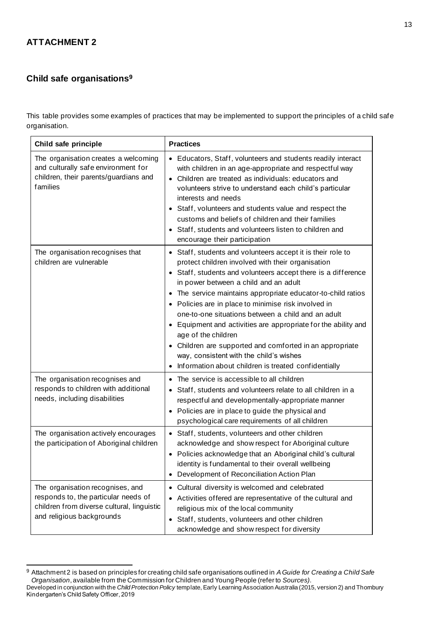# **ATTACHMENT 2**

# **Child safe organisations<sup>9</sup>**

This table provides some examples of practices that may be implemented to support the principles of a child safe organisation.

| Child safe principle                                                                                                                                | <b>Practices</b>                                                                                                                                                                                                                                                                                                                                                                                                                                                                                                                                                                                                                                               |
|-----------------------------------------------------------------------------------------------------------------------------------------------------|----------------------------------------------------------------------------------------------------------------------------------------------------------------------------------------------------------------------------------------------------------------------------------------------------------------------------------------------------------------------------------------------------------------------------------------------------------------------------------------------------------------------------------------------------------------------------------------------------------------------------------------------------------------|
| The organisation creates a welcoming<br>and culturally safe environment for<br>children, their parents/guardians and<br>families                    | • Educators, Staff, volunteers and students readily interact<br>with children in an age-appropriate and respectful way<br>• Children are treated as individuals: educators and<br>volunteers strive to understand each child's particular<br>interests and needs<br>• Staff, volunteers and students value and respect the<br>customs and beliefs of children and their families<br>Staff, students and volunteers listen to children and<br>encourage their participation                                                                                                                                                                                     |
| The organisation recognises that<br>children are vulnerable                                                                                         | • Staff, students and volunteers accept it is their role to<br>protect children involved with their organisation<br>Staff, students and volunteers accept there is a difference<br>in power between a child and an adult<br>• The service maintains appropriate educator-to-child ratios<br>• Policies are in place to minimise risk involved in<br>one-to-one situations between a child and an adult<br>• Equipment and activities are appropriate for the ability and<br>age of the children<br>• Children are supported and comforted in an appropriate<br>way, consistent with the child's wishes<br>Information about children is treated confidentially |
| The organisation recognises and<br>responds to children with additional<br>needs, including disabilities                                            | • The service is accessible to all children<br>• Staff, students and volunteers relate to all children in a<br>respectful and developmentally-appropriate manner<br>• Policies are in place to guide the physical and<br>psychological care requirements of all children                                                                                                                                                                                                                                                                                                                                                                                       |
| The organisation actively encourages<br>the participation of Aboriginal children                                                                    | • Staff, students, volunteers and other children<br>acknowledge and show respect for Aboriginal culture<br>• Policies acknowledge that an Aboriginal child's cultural<br>identity is fundamental to their overall wellbeing<br>• Development of Reconciliation Action Plan                                                                                                                                                                                                                                                                                                                                                                                     |
| The organisation recognises, and<br>responds to, the particular needs of<br>children from diverse cultural, linguistic<br>and religious backgrounds | • Cultural diversity is welcomed and celebrated<br>Activities offered are representative of the cultural and<br>religious mix of the local community<br>Staff, students, volunteers and other children<br>$\bullet$<br>acknowledge and show respect for diversity                                                                                                                                                                                                                                                                                                                                                                                              |

Developed in conjunction with the *Child Protection Policy* template, Early Learning Association Australia (2015, version 2) and Thornbury Kindergarten's Child Safety Officer, 2019 <sup>9</sup> Attachment 2 is based on principles for creating child safe organisations outlined in *A Guide for Creating a Child Safe Organisation*, available from the Commission for Children and Young People (refer to *Sources)*.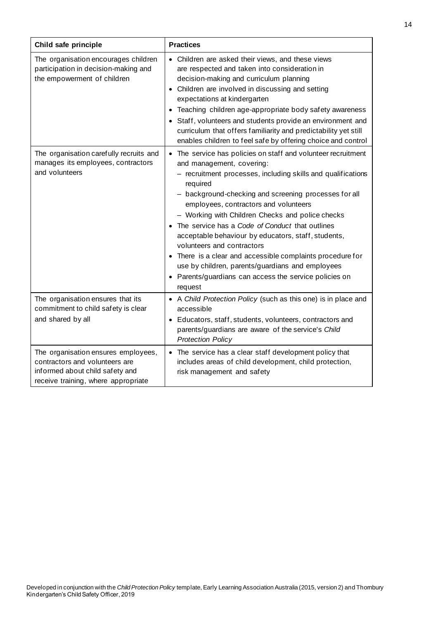| Child safe principle                                                                                                                            | <b>Practices</b>                                                                                                                                                                                                                                                                                                                                                                                                                                                                                                                                                                                                                                            |
|-------------------------------------------------------------------------------------------------------------------------------------------------|-------------------------------------------------------------------------------------------------------------------------------------------------------------------------------------------------------------------------------------------------------------------------------------------------------------------------------------------------------------------------------------------------------------------------------------------------------------------------------------------------------------------------------------------------------------------------------------------------------------------------------------------------------------|
| The organisation encourages children<br>participation in decision-making and<br>the empowerment of children                                     | • Children are asked their views, and these views<br>are respected and taken into consideration in<br>decision-making and curriculum planning<br>• Children are involved in discussing and setting<br>expectations at kindergarten<br>Teaching children age-appropriate body safety awareness<br>$\bullet$<br>Staff, volunteers and students provide an environment and<br>$\bullet$<br>curriculum that offers familiarity and predictability yet still<br>enables children to feel safe by offering choice and control                                                                                                                                     |
| The organisation carefully recruits and<br>manages its employees, contractors<br>and volunteers                                                 | • The service has policies on staff and volunteer recruitment<br>and management, covering:<br>- recruitment processes, including skills and qualifications<br>required<br>- background-checking and screening processes for all<br>employees, contractors and volunteers<br>- Working with Children Checks and police checks<br>• The service has a Code of Conduct that outlines<br>acceptable behaviour by educators, staff, students,<br>volunteers and contractors<br>There is a clear and accessible complaints procedure for<br>use by children, parents/guardians and employees<br>• Parents/guardians can access the service policies on<br>request |
| The organisation ensures that its<br>commitment to child safety is clear<br>and shared by all                                                   | • A Child Protection Policy (such as this one) is in place and<br>accessible<br>• Educators, staff, students, volunteers, contractors and<br>parents/guardians are aware of the service's Child<br><b>Protection Policy</b>                                                                                                                                                                                                                                                                                                                                                                                                                                 |
| The organisation ensures employees,<br>contractors and volunteers are<br>informed about child safety and<br>receive training, where appropriate | • The service has a clear staff development policy that<br>includes areas of child development, child protection,<br>risk management and safety                                                                                                                                                                                                                                                                                                                                                                                                                                                                                                             |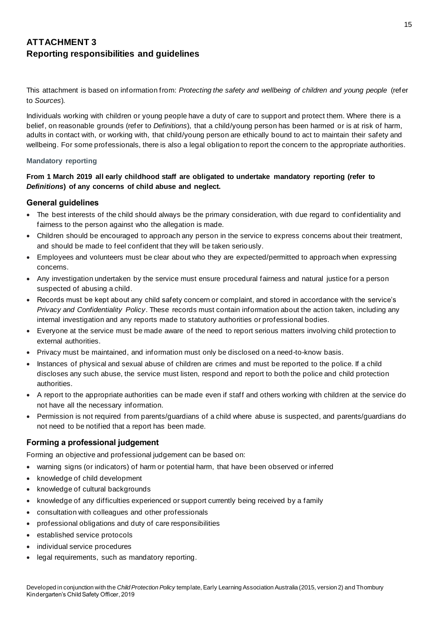# **ATTACHMENT 3 Reporting responsibilities and guidelines**

This attachment is based on information from: *Protecting the safety and wellbeing of children and young people* (refer to *Sources*)*.*

Individuals working with children or young people have a duty of care to support and protect them. Where there is a belief, on reasonable grounds (refer to *Definitions*), that a child/young person has been harmed or is at risk of harm, adults in contact with, or working with, that child/young person are ethically bound to act to maintain their safety and wellbeing. For some professionals, there is also a legal obligation to report the concern to the appropriate authorities.

### **Mandatory reporting**

## **From 1 March 2019 all early childhood staff are obligated to undertake mandatory reporting (refer to**  *Definitions***) of any concerns of child abuse and neglect.**

### **General guidelines**

- The best interests of the child should always be the primary consideration, with due regard to confidentiality and fairness to the person against who the allegation is made.
- Children should be encouraged to approach any person in the service to express concerns about their treatment, and should be made to feel confident that they will be taken seriously.
- Employees and volunteers must be clear about who they are expected/permitted to approach when expressing concerns.
- Any investigation undertaken by the service must ensure procedural fairness and natural justice for a person suspected of abusing a child.
- Records must be kept about any child safety concern or complaint, and stored in accordance with the service's *Privacy and Confidentiality Policy*. These records must contain information about the action taken, including any internal investigation and any reports made to statutory authorities or professional bodies.
- Everyone at the service must be made aware of the need to report serious matters involving child protection to external authorities.
- Privacy must be maintained, and information must only be disclosed on a need-to-know basis.
- Instances of physical and sexual abuse of children are crimes and must be reported to the police. If a child discloses any such abuse, the service must listen, respond and report to both the police and child protection authorities.
- A report to the appropriate authorities can be made even if staff and others working with children at the service do not have all the necessary information.
- Permission is not required from parents/guardians of a child where abuse is suspected, and parents/guardians do not need to be notified that a report has been made.

## **Forming a professional judgement**

Forming an objective and professional judgement can be based on:

- warning signs (or indicators) of harm or potential harm, that have been observed or inferred
- knowledge of child development
- knowledge of cultural backgrounds
- knowledge of any difficulties experienced or support currently being received by a family
- consultation with colleagues and other professionals
- professional obligations and duty of care responsibilities
- established service protocols
- individual service procedures
- legal requirements, such as mandatory reporting.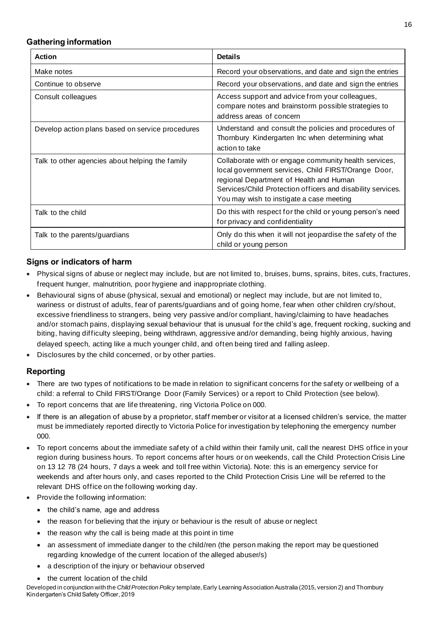## **Gathering information**

| <b>Action</b>                                    | <b>Details</b>                                                                                                                                                                                                                                                     |
|--------------------------------------------------|--------------------------------------------------------------------------------------------------------------------------------------------------------------------------------------------------------------------------------------------------------------------|
| Make notes                                       | Record your observations, and date and sign the entries                                                                                                                                                                                                            |
| Continue to observe                              | Record your observations, and date and sign the entries                                                                                                                                                                                                            |
| Consult colleagues                               | Access support and advice from your colleagues,<br>compare notes and brainstorm possible strategies to<br>address areas of concern                                                                                                                                 |
| Develop action plans based on service procedures | Understand and consult the policies and procedures of<br>Thornbury Kindergarten Inc when determining what<br>action to take                                                                                                                                        |
| Talk to other agencies about helping the family  | Collaborate with or engage community health services,<br>local government services, Child FIRST/Orange Door,<br>regional Department of Health and Human<br>Services/Child Protection officers and disability services.<br>You may wish to instigate a case meeting |
| Talk to the child                                | Do this with respect for the child or young person's need<br>for privacy and confidentiality                                                                                                                                                                       |
| Talk to the parents/guardians                    | Only do this when it will not jeopardise the safety of the<br>child or young person                                                                                                                                                                                |

## **Signs or indicators of harm**

- Physical signs of abuse or neglect may include, but are not limited to, bruises, burns, sprains, bites, cuts, fractures, frequent hunger, malnutrition, poor hygiene and inappropriate clothing.
- Behavioural signs of abuse (physical, sexual and emotional) or neglect may include, but are not limited to, wariness or distrust of adults, fear of parents/guardians and of going home, fear when other children cry/shout, excessive friendliness to strangers, being very passive and/or compliant, having/claiming to have headaches and/or stomach pains, displaying sexual behaviour that is unusual for the child's age, frequent rocking, sucking and biting, having difficulty sleeping, being withdrawn, aggressive and/or demanding, being highly anxious, having delayed speech, acting like a much younger child, and often being tired and falling asleep.
- Disclosures by the child concerned, or by other parties.

## **Reporting**

- There are two types of notifications to be made in relation to significant concerns for the safety or wellbeing of a child: a referral to Child FIRST/Orange Door (Family Services) or a report to Child Protection (see below).
- To report concerns that are life threatening, ring Victoria Police on 000.
- If there is an allegation of abuse by a proprietor, staff member or visitor at a licensed children's service, the matter must be immediately reported directly to Victoria Police for investigation by telephoning the emergency number 000.
- To report concerns about the immediate safety of a child within their family unit, call the nearest DHS office in your region during business hours. To report concerns after hours or on weekends, call the Child Protection Crisis Line on 13 12 78 (24 hours, 7 days a week and toll free within Victoria). Note: this is an emergency service for weekends and after hours only, and cases reported to the Child Protection Crisis Line will be referred to the relevant DHS office on the following working day.
- Provide the following information:
	- the child's name, age and address
	- the reason for believing that the injury or behaviour is the result of abuse or neglect
	- the reason why the call is being made at this point in time
	- an assessment of immediate danger to the child/ren (the person making the report may be questioned regarding knowledge of the current location of the alleged abuser/s)
	- a description of the injury or behaviour observed
	- the current location of the child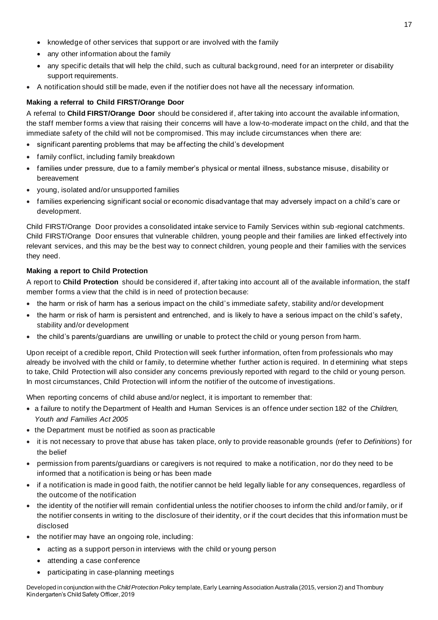- knowledge of other services that support or are involved with the family
- any other information about the family
- any specific details that will help the child, such as cultural backg round, need for an interpreter or disability support requirements.
- A notification should still be made, even if the notifier does not have all the necessary information.

## **Making a referral to Child FIRST/Orange Door**

A referral to **Child FIRST/Orange Door** should be considered if, after taking into account the available information, the staff member forms a view that raising their concerns will have a low-to-moderate impact on the child, and that the immediate safety of the child will not be compromised. This may include circumstances when there are:

- significant parenting problems that may be affecting the child's development
- family conflict, including family breakdown
- families under pressure, due to a family member's physical or mental illness, substance misuse, disability or bereavement
- young, isolated and/or unsupported families
- families experiencing significant social or economic disadvantage that may adversely impact on a child's care or development.

Child FIRST/Orange Door provides a consolidated intake service to Family Services within sub -regional catchments. Child FIRST/Orange Door ensures that vulnerable children, young people and their families are linked effectively into relevant services, and this may be the best way to connect children, young people and their families with the services they need.

### **Making a report to Child Protection**

A report to **Child Protection** should be considered if, after taking into account all of the available information, the staff member forms a view that the child is in need of protection because:

- the harm or risk of harm has a serious impact on the child's immediate safety, stability and/or development
- the harm or risk of harm is persistent and entrenched, and is likely to have a serious impact on the child's safety, stability and/or development
- the child's parents/guardians are unwilling or unable to protect the child or young person from harm.

Upon receipt of a credible report, Child Protection will seek further information, often from professionals who may already be involved with the child or family, to determine whether further action is required. In d etermining what steps to take, Child Protection will also consider any concerns previously reported with regard to the child or young person. In most circumstances, Child Protection will inform the notifier of the outcome of investigations.

When reporting concerns of child abuse and/or neglect, it is important to remember that:

- a failure to notify the Department of Health and Human Services is an offence under section 182 of the *Children, Youth and Families Act 2005*
- the Department must be notified as soon as practicable
- it is not necessary to prove that abuse has taken place, only to provide reasonable grounds (refer to *Definitions*) for the belief
- permission from parents/guardians or caregivers is not required to make a notification, nor do they need to be informed that a notification is being or has been made
- if a notification is made in good faith, the notifier cannot be held legally liable for any consequences, regardless of the outcome of the notification
- the identity of the notifier will remain confidential unless the notifier chooses to inform the child and/or family, or if the notifier consents in writing to the disclosure of their identity, or if the court decides that this information must be disclosed
- the notifier may have an ongoing role, including:
	- acting as a support person in interviews with the child or young person
	- attending a case conference
	- participating in case-planning meetings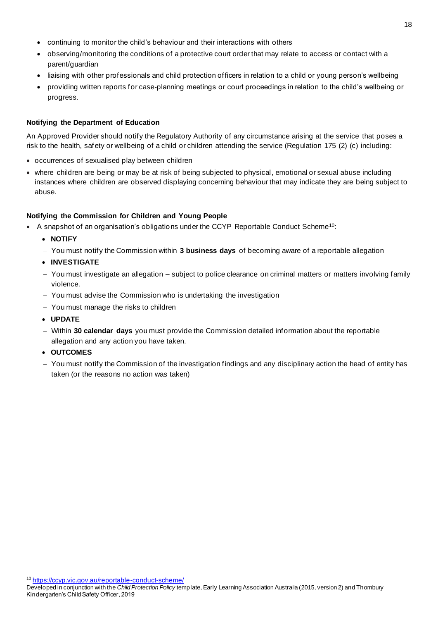- continuing to monitor the child's behaviour and their interactions with others
- observing/monitoring the conditions of a protective court order that may relate to access or contact with a parent/guardian
- liaising with other professionals and child protection officers in relation to a child or young person's wellbeing
- providing written reports for case-planning meetings or court proceedings in relation to the child's wellbeing or progress.

### **Notifying the Department of Education**

An Approved Provider should notify the Regulatory Authority of any circumstance arising at the service that poses a risk to the health, safety or wellbeing of a child or children attending the service (Regulation 175 (2) (c) including:

- occurrences of sexualised play between children
- where children are being or may be at risk of being subjected to physical, emotional or sexual abuse including instances where children are observed displaying concerning behaviour that may indicate they are being subject to abuse.

### **Notifying the Commission for Children and Young People**

- A snapshot of an organisation's obligations under the CCYP Reportable Conduct Scheme<sup>10</sup>:
	- **NOTIFY**
	- − You must notify the Commission within **3 business days** of becoming aware of a reportable allegation
	- **INVESTIGATE**
	- − You must investigate an allegation subject to police clearance on criminal matters or matters involving family violence.
	- − You must advise the Commission who is undertaking the investigation
	- − You must manage the risks to children
	- **UPDATE**
	- − Within **30 calendar days** you must provide the Commission detailed information about the reportable allegation and any action you have taken.
	- **OUTCOMES**
	- − You must notify the Commission of the investigation findings and any disciplinary action the head of entity has taken (or the reasons no action was taken)

<sup>10</sup> https://ccyp.vic.gov.au/reportable-conduct-scheme/

Developed in conjunction with the *Child Protection Policy* template, Early Learning Association Australia (2015, version 2) and Thornbury Kindergarten's Child Safety Officer, 2019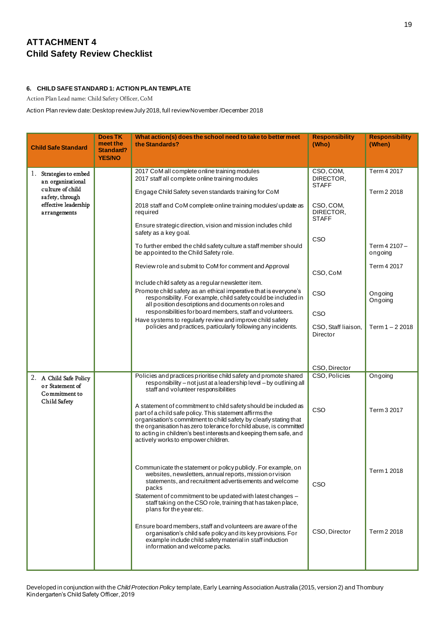# **ATTACHMENT 4 Child Safety Review Checklist**

### **6. CHILD SAFE STANDARD 1: ACTION PLAN TEMPLATE**

Action Plan Lead name: Child Safety Officer, CoM

Action Plan review date:Desktop review July 2018, full review November /December 2018

| <b>Child Safe Standard</b>                                                        | Does TK<br>meet the<br>Standard?<br><b>YES/NO</b> | What action(s) does the school need to take to better meet<br>the Standards?                                                                                                                                                                                                                                                | <b>Responsibility</b><br>(Who)         | <b>Responsibility</b><br>(When) |
|-----------------------------------------------------------------------------------|---------------------------------------------------|-----------------------------------------------------------------------------------------------------------------------------------------------------------------------------------------------------------------------------------------------------------------------------------------------------------------------------|----------------------------------------|---------------------------------|
| 1. Strategies to embed<br>an organizational<br>culture of child                   |                                                   | 2017 CoM all complete online training modules<br>2017 staff all complete online training modules                                                                                                                                                                                                                            | CSO, COM,<br>DIRECTOR,<br><b>STAFF</b> | Term 4 2017                     |
| safety, through                                                                   |                                                   | Engage Child Safety seven standards training for CoM                                                                                                                                                                                                                                                                        |                                        | Term 2 2018                     |
| effective leadership<br>arrangements                                              |                                                   | 2018 staff and CoM complete online training modules/update as<br>required                                                                                                                                                                                                                                                   | CSO, COM,<br>DIRECTOR,<br><b>STAFF</b> |                                 |
|                                                                                   |                                                   | Ensure strategic direction, vision and mission includes child<br>safety as a key goal.                                                                                                                                                                                                                                      | CSO                                    |                                 |
|                                                                                   |                                                   | To further embed the child safety culture a staff member should<br>be appointed to the Child Safety role.                                                                                                                                                                                                                   |                                        | Term 4 2107 -<br>ongoing        |
|                                                                                   |                                                   | Review role and submit to CoM for comment and Approval                                                                                                                                                                                                                                                                      | CSO, CoM                               | Term 4 2017                     |
|                                                                                   |                                                   | Include child safety as a regular newsletter item.<br>Promote child safety as an ethical imperative that is everyone's<br>responsibility. For example, child safety could be included in<br>all position descriptions and documents on roles and                                                                            | CSO                                    | Ongoing<br>Ongoing              |
|                                                                                   |                                                   | responsibilities for board members, staff and volunteers.<br>Have systems to regularly review and improve child safety                                                                                                                                                                                                      | CSO                                    |                                 |
|                                                                                   |                                                   | policies and practices, particularly following any incidents.                                                                                                                                                                                                                                                               | CSO, Staff liaison,<br>Director        | Term $1 - 2,2018$               |
|                                                                                   |                                                   |                                                                                                                                                                                                                                                                                                                             |                                        |                                 |
|                                                                                   |                                                   | Policies and practices prioritise child safety and promote shared                                                                                                                                                                                                                                                           | CSO, Director<br>CSO, Policies         | Ongoing                         |
| 2. A Child Safe Policy<br>or Statement of<br>Commitment to<br><b>Child Safety</b> |                                                   | responsibility - not just at a leadership level - by outlining all<br>staff and volunteer responsibilities<br>A statement of commitment to child safety should be included as                                                                                                                                               |                                        |                                 |
|                                                                                   |                                                   | part of a child safe policy. This statement affirms the<br>organisation's commitment to child safety by clearly stating that<br>the organisation has zero tolerance for child abuse, is committed<br>to acting in children's best interests and keeping them safe, and<br>actively works to empower children.               | CSO                                    | Term 3 2017                     |
|                                                                                   |                                                   | Communicate the statement or policy publicly. For example, on<br>websites, newsletters, annual reports, mission or vision<br>statements, and recruitment advertisements and welcome<br>packs<br>Statement of commitment to be updated with latest changes -<br>staff taking on the CSO role, training that has taken place, | CSO                                    | Term 1 2018                     |
|                                                                                   |                                                   | plans for the yearetc.                                                                                                                                                                                                                                                                                                      |                                        |                                 |
|                                                                                   |                                                   | Ensure board members, staff and volunteers are aware of the<br>organisation's child safe policy and its key provisions. For<br>example include child safety material in staff induction<br>information and welcome packs.                                                                                                   | CSO, Director                          | Term 2 2018                     |
|                                                                                   |                                                   |                                                                                                                                                                                                                                                                                                                             |                                        |                                 |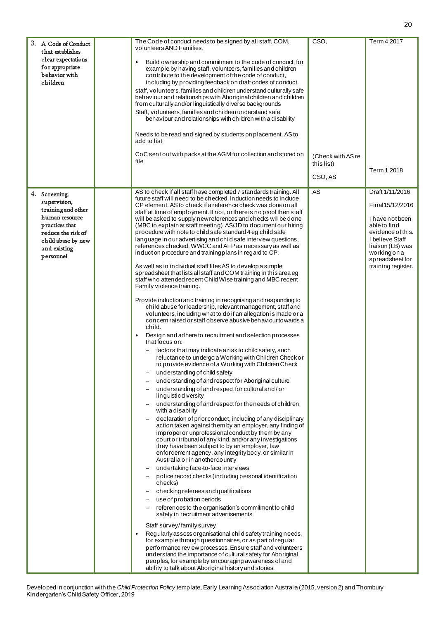| 3. A Code of Conduct<br>that establishes<br>clear expectations<br>for appropriate<br>behavior with<br>children                                                   | The Code of conduct needs to be signed by all staff, COM,<br>volunteers AND Families.<br>Build ownership and commitment to the code of conduct, for<br>example by having staff, volunteers, families and children<br>contribute to the development of the code of conduct,<br>including by providing feedback on draft codes of conduct.<br>staff, volunteers, families and children understand culturally safe<br>behaviour and relationships with Aboriginal children and children<br>from culturally and/or linguistically diverse backgrounds<br>Staff, volunteers, families and children understand safe<br>behaviour and relationships with children with a disability<br>Needs to be read and signed by students on placement. AS to<br>add to list<br>CoC sent out with packs at the AGM for collection and stored on<br>file                                                                                                                                                                                                                                                                                                                                                                                                                                                                                                                                                                                                                                                                                                                                                                                                                                                                                                                                                                                                                                                                                                                                                                                                                                                                                                                                                                                                                                                                                                                                                                                                                                                                                                                                                                                                                                                                                                                                                    | CSO,<br>(Check with AS re<br>this list)<br>CSO, AS | Term 4 2017<br>Term 1 2018                                                                                                                                                                 |
|------------------------------------------------------------------------------------------------------------------------------------------------------------------|------------------------------------------------------------------------------------------------------------------------------------------------------------------------------------------------------------------------------------------------------------------------------------------------------------------------------------------------------------------------------------------------------------------------------------------------------------------------------------------------------------------------------------------------------------------------------------------------------------------------------------------------------------------------------------------------------------------------------------------------------------------------------------------------------------------------------------------------------------------------------------------------------------------------------------------------------------------------------------------------------------------------------------------------------------------------------------------------------------------------------------------------------------------------------------------------------------------------------------------------------------------------------------------------------------------------------------------------------------------------------------------------------------------------------------------------------------------------------------------------------------------------------------------------------------------------------------------------------------------------------------------------------------------------------------------------------------------------------------------------------------------------------------------------------------------------------------------------------------------------------------------------------------------------------------------------------------------------------------------------------------------------------------------------------------------------------------------------------------------------------------------------------------------------------------------------------------------------------------------------------------------------------------------------------------------------------------------------------------------------------------------------------------------------------------------------------------------------------------------------------------------------------------------------------------------------------------------------------------------------------------------------------------------------------------------------------------------------------------------------------------------------------------------|----------------------------------------------------|--------------------------------------------------------------------------------------------------------------------------------------------------------------------------------------------|
| 4. Screening,<br>supervision,<br>training and other<br>human resource<br>practices that<br>reduce the risk of<br>child abuse by new<br>and existing<br>personnel | AS to check if all staff have completed 7 standards training. All<br>future staff will need to be checked. Induction needs to include<br>CP element. AS to check if a reference check was done on all<br>staff at time of employment. If not, or there is no proof then staff<br>will be asked to supply new references and checks will be done<br>(MBC to explain at staff meeting). AS/JD to document our hiring<br>procedure with note to child safe standard 4 eg child safe<br>language in our advertising and child safe interview questions,<br>references checked, WWCC and AFP as necessary as well as<br>induction procedure and training plans in regard to CP.<br>As well as in individual staff files AS to develop a simple<br>spreadsheet that lists all staff and COM training in this area eg<br>staff who attended recent Child Wise training and MBC recent<br>Family violence training.<br>Provide induction and training in recognising and responding to<br>child abuse for leadership, relevant management, staff and<br>volunteers, including what to do if an allegation is made or a<br>concern raised or staff observe abusive behaviour to wards a<br>child.<br>Design and adhere to recruitment and selection processes<br>that focus on:<br>factors that may indicate a risk to child safety, such<br>reluctance to undergo a Working with Children Check or<br>to provide evidence of a Working with Children Check<br>understanding of child safety<br>understanding of and respect for Aboriginal culture<br>understanding of and respect for cultural and/or<br>linguistic diversity<br>understanding of and respect for the needs of children<br>with a disability<br>declaration of prior conduct, including of any disciplinary<br>action taken against them by an employer, any finding of<br>improper or unprofessional conduct by them by any<br>court or tribunal of any kind, and/or any investigations<br>they have been subject to by an employer, law<br>enforcement agency, any integrity body, or similar in<br>Australia or in another country<br>undertaking face-to-face interviews<br>police record checks (including personal identification<br>checks)<br>checking referees and qualifications<br>use of probation periods<br>references to the organisation's commitment to child<br>safety in recruitment advertisements.<br>Staff survey/family survey<br>Regularly assess organisational child safety training needs,<br>for example through questionnaires, or as part of regular<br>performance review processes. Ensure staff and volunteers<br>understand the importance of cultural safety for Aboriginal<br>peoples, for example by encouraging awareness of and<br>ability to talk about Aboriginal history and stories. | AS                                                 | Draft 1/11/2016<br>Final15/12/2016<br>I have not been<br>able to find<br>evidence of this.<br>I believe Staff<br>liaison (LB) was<br>working on a<br>spreadsheet for<br>training register. |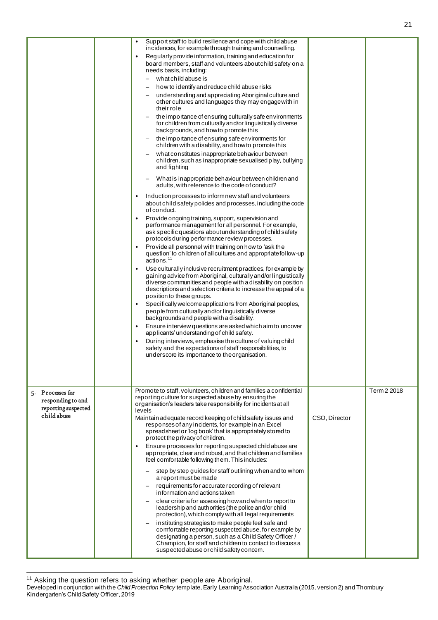|                                                                             | $\bullet$<br>$\bullet$<br>$\bullet$ | Support staff to build resilience and cope with child abuse<br>incidences, for example through training and counselling.<br>Regularly provide information, training and education for<br>board members, staff and volunteers about child safety on a<br>needs basis, including:<br>what child abuse is<br>how to identify and reduce child abuse risks<br>understanding and appreciating Aboriginal culture and<br>other cultures and languages they may engage with in<br>their role<br>the importance of ensuring culturally safe environments<br>for children from culturally and/or linguistically diverse<br>backgrounds, and how to promote this<br>the importance of ensuring safe environments for<br>children with a disability, and how to promote this<br>what constitutes inappropriate behaviour between<br>children, such as inappropriate sexualised play, bullying<br>and fighting<br>What is inappropriate behaviour between children and<br>adults, with reference to the code of conduct?<br>Induction processes to inform new staff and volunteers<br>about child safety policies and processes, including the code<br>of conduct.<br>Provide ongoing training, support, supervision and<br>performance management for all personnel. For example,<br>ask specific questions about understanding of child safety<br>protocols during performance review processes.<br>Provide all personnel with training on how to 'ask the<br>question' to children of all cultures and appropriate follow-up<br>$\arctan 11$<br>Use culturally inclusive recruitment practices, for example by<br>gaining advice from Aboriginal, culturally and/orlinguistically<br>diverse communities and people with a disability on position<br>descriptions and selection criteria to increase the appeal of a<br>position to these groups.<br>Specifically welcome applications from Aboriginal peoples,<br>people from culturally and/or linguistically diverse<br>backgrounds and people with a disability.<br>Ensure interview questions are asked which aim to uncover<br>applicants' understanding of child safety.<br>During interviews, emphasise the culture of valuing child<br>safety and the expectations of staff responsibilities, to<br>underscore its importance to theorganisation. |               |             |
|-----------------------------------------------------------------------------|-------------------------------------|---------------------------------------------------------------------------------------------------------------------------------------------------------------------------------------------------------------------------------------------------------------------------------------------------------------------------------------------------------------------------------------------------------------------------------------------------------------------------------------------------------------------------------------------------------------------------------------------------------------------------------------------------------------------------------------------------------------------------------------------------------------------------------------------------------------------------------------------------------------------------------------------------------------------------------------------------------------------------------------------------------------------------------------------------------------------------------------------------------------------------------------------------------------------------------------------------------------------------------------------------------------------------------------------------------------------------------------------------------------------------------------------------------------------------------------------------------------------------------------------------------------------------------------------------------------------------------------------------------------------------------------------------------------------------------------------------------------------------------------------------------------------------------------------------------------------------------------------------------------------------------------------------------------------------------------------------------------------------------------------------------------------------------------------------------------------------------------------------------------------------------------------------------------------------------------------------------------------------------------------------------------------------------------------------|---------------|-------------|
| 5. Processes for<br>responding to and<br>reporting suspected<br>child abuse | $\bullet$                           | Promote to staff, volunteers, children and families a confidential<br>reporting culture for suspected abuse by ensuring the<br>organisation's leaders take responsibility for incidents at all<br>levels<br>Maintain adequate record keeping of child safety issues and<br>responses of any incidents, for example in an Excel<br>spread sheet or 'log book' that is appropriately stored to<br>protect the privacy of children.<br>Ensure processes for reporting suspected child abuse are<br>appropriate, clear and robust, and that children and families<br>feel comfortable following them. This includes:<br>step by step guides for staff outlining when and to whom<br>a report must be made<br>requirements for accurate recording of relevant<br>information and actions taken<br>clear criteria for assessing how and when to report to<br>leadership and authorities (the police and/or child<br>protection), which comply with all legal requirements<br>instituting strategies to make people feel safe and<br>comfortable reporting suspected abuse, for example by<br>designating a person, such as a Child Safety Officer /<br>Champion, for staff and children to contact to discuss a<br>suspected abuse or child safety concern.                                                                                                                                                                                                                                                                                                                                                                                                                                                                                                                                                                                                                                                                                                                                                                                                                                                                                                                                                                                                                                             | CSO, Director | Term 2 2018 |

<sup>&</sup>lt;sup>11</sup> Asking the question refers to asking whether people are Aboriginal.

Developed in conjunction with the *Child Protection Policy* template, Early Learning Association Australia (2015, version 2) and Thornbury Kindergarten's Child Safety Officer, 2019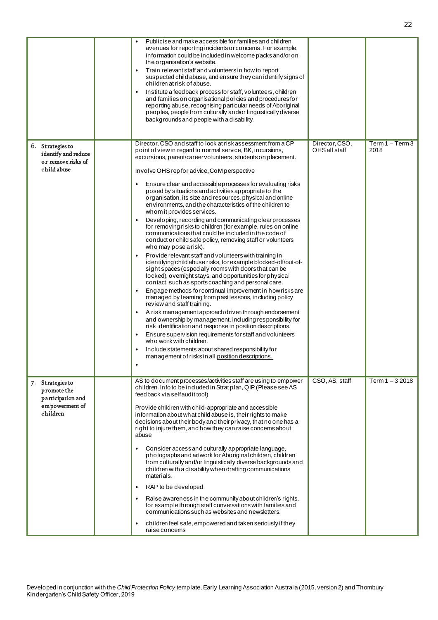|                                                                                                | Publicise and make accessible for families and children<br>avenues for reporting incidents or concerns. For example,<br>information could be included in welcome packs and/or on<br>the organisation's website.<br>Train relevant staff and volunteers in how to report<br>suspected child abuse, and ensure they can identify signs of<br>children at risk of abuse.<br>Institute a feedback process for staff, volunteers, children<br>and families on organisational policies and procedures for<br>reporting abuse, recognising particular needs of Aboriginal<br>peoples, people from culturally and/or linguistically diverse<br>backgrounds and people with a disability.                                                                                                                                                                                                                                                                                                                                                                                                                                                                                                                                                                                                                                                                                                                                                                                                                                                                                                                                                                      |                                 |                          |
|------------------------------------------------------------------------------------------------|-------------------------------------------------------------------------------------------------------------------------------------------------------------------------------------------------------------------------------------------------------------------------------------------------------------------------------------------------------------------------------------------------------------------------------------------------------------------------------------------------------------------------------------------------------------------------------------------------------------------------------------------------------------------------------------------------------------------------------------------------------------------------------------------------------------------------------------------------------------------------------------------------------------------------------------------------------------------------------------------------------------------------------------------------------------------------------------------------------------------------------------------------------------------------------------------------------------------------------------------------------------------------------------------------------------------------------------------------------------------------------------------------------------------------------------------------------------------------------------------------------------------------------------------------------------------------------------------------------------------------------------------------------|---------------------------------|--------------------------|
| 6. Strategies to<br>identify and reduce<br>or remove risks of<br>child abuse                   | Director, CSO and staff to look at risk assessment from a CP<br>point of view in regard to normal service, BK, incursions,<br>excursions, parent/career volunteers, students on placement.<br>Involve OHS rep for advice, CoM perspective<br>Ensure clear and accessible processes for evaluating risks<br>posed by situations and activities appropriate to the<br>organisation, its size and resources, physical and online<br>environments, and the characteristics of the children to<br>whom it provides services.<br>Developing, recording and communicating clear processes<br>for removing risks to children (for example, rules on online<br>communications that could be included in the code of<br>conduct or child safe policy, removing staff or volunteers<br>who may pose a risk).<br>Provide relevant staff and volunteers with training in<br>identifying child abuse risks, for example blocked-off/out-of-<br>sight spaces (especially rooms with doors that can be<br>locked), overnight stays, and opportunities for physical<br>contact, such as sports coaching and personal care.<br>Engage methods for continual improvement in how risks are<br>managed by learning from past lessons, including policy<br>review and staff training.<br>A risk management approach driven through endorsement<br>and ownership by management, including responsibility for<br>risk identification and response in position descriptions.<br>Ensure supervision requirements for staff and volunteers<br>who work with children.<br>Include statements about shared responsibility for<br>management of risks in all position descriptions. | Director, CSO,<br>OHS all staff | $Term 1 - Term3$<br>2018 |
| 7. Strategies to<br>promote the<br>participation and<br>$\mathbf{em}$ powerment of<br>children | AS to document processes/activities staff are using to empower<br>children. Info to be included in Strat plan, QIP (Please see AS<br>feedback via selfaudit tool)<br>Provide children with child-appropriate and accessible<br>information about what child abuse is, their rights to make<br>decisions about their body and their privacy, that no one has a<br>right to injure them, and how they can raise concerns about<br>abuse<br>Consider access and culturally appropriate language,<br>photographs and artwork for Aboriginal children, children<br>from culturally and/or linguistically diverse backgrounds and<br>children with a disability when drafting communications<br>materials.<br>RAP to be developed<br>$\bullet$<br>Raise awareness in the community about children's rights,<br>for example through staff conversations with families and<br>communications such as websites and newsletters.<br>children feel safe, empowered and taken seriously if they<br>raise concerns                                                                                                                                                                                                                                                                                                                                                                                                                                                                                                                                                                                                                                                 | CSO, AS, staff                  | Term 1 - 3 2018          |